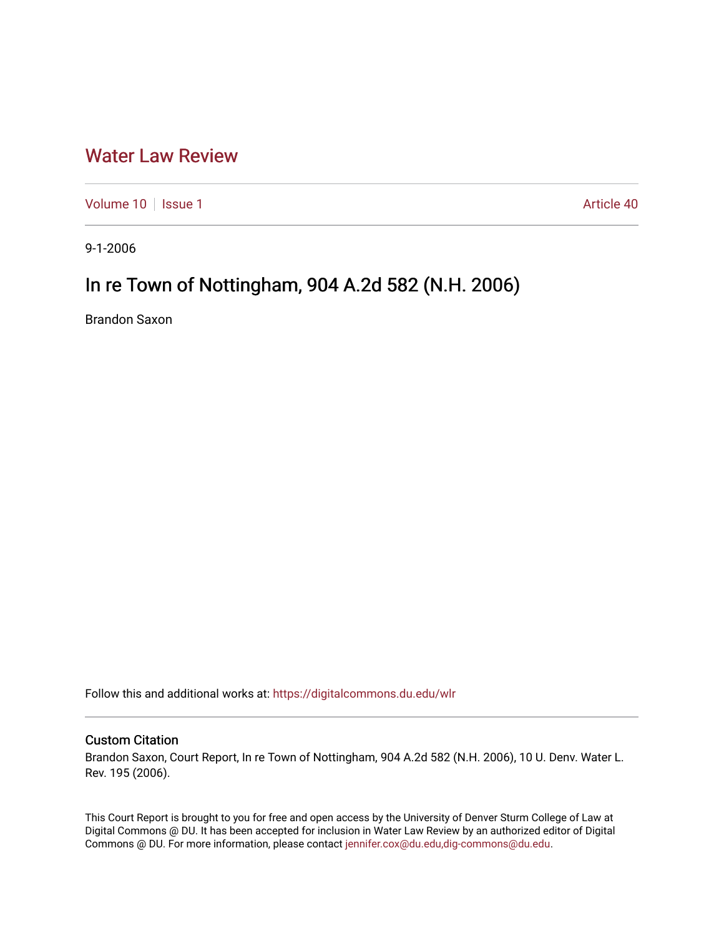## [Water Law Review](https://digitalcommons.du.edu/wlr)

[Volume 10](https://digitalcommons.du.edu/wlr/vol10) | [Issue 1](https://digitalcommons.du.edu/wlr/vol10/iss1) Article 40

9-1-2006

## In re Town of Nottingham, 904 A.2d 582 (N.H. 2006)

Brandon Saxon

Follow this and additional works at: [https://digitalcommons.du.edu/wlr](https://digitalcommons.du.edu/wlr?utm_source=digitalcommons.du.edu%2Fwlr%2Fvol10%2Fiss1%2F40&utm_medium=PDF&utm_campaign=PDFCoverPages) 

## Custom Citation

Brandon Saxon, Court Report, In re Town of Nottingham, 904 A.2d 582 (N.H. 2006), 10 U. Denv. Water L. Rev. 195 (2006).

This Court Report is brought to you for free and open access by the University of Denver Sturm College of Law at Digital Commons @ DU. It has been accepted for inclusion in Water Law Review by an authorized editor of Digital Commons @ DU. For more information, please contact [jennifer.cox@du.edu,dig-commons@du.edu.](mailto:jennifer.cox@du.edu,dig-commons@du.edu)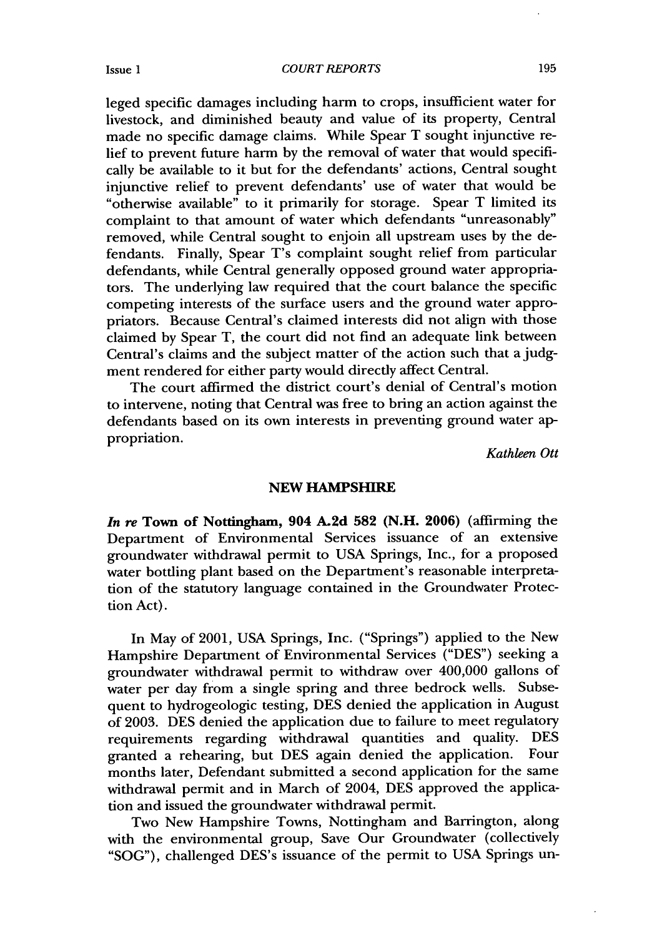*COURT REPORTS*

leged specific damages including harm to crops, insufficient water for livestock, and diminished beauty and value of its property, Central made no specific damage claims. While Spear T sought injunctive relief to prevent future harm by the removal of water that would specifically be available to it but for the defendants' actions, Central sought injunctive relief to prevent defendants' use of water that would be "otherwise available" to it primarily for storage. Spear T limited its complaint to that amount of water which defendants "unreasonably" removed, while Central sought to enjoin all upstream uses by the defendants. Finally, Spear T's complaint sought relief from particular defendants, while Central generally opposed ground water appropriators. The underlying law required that the court balance the specific competing interests of the surface users and the ground water appropriators. Because Central's claimed interests did not align with those claimed by Spear T, the court did not find an adequate link between Central's claims and the subject matter of the action such that a judgment rendered for either party would directly affect Central.

The court affirmed the district court's denial of Central's motion to intervene, noting that Central was free to bring an action against the defendants based on its own interests in preventing ground water appropriation.

*Kathleen Ott*

## **NEW HAMPSHIRE**

*In re* **Town of** Nottingham, **904 A.2d 582 (N.H. 2006)** (affirming the Department of Environmental Services issuance of an extensive groundwater withdrawal permit to USA Springs, Inc., for a proposed water bottling plant based on the Department's reasonable interpretation of the statutory language contained in the Groundwater Protection Act).

In May of 2001, USA Springs, Inc. ("Springs") applied to the New Hampshire Department of Environmental Services ("DES") seeking a groundwater withdrawal permit to withdraw over 400,000 gallons of water per day from a single spring and three bedrock wells. Subsequent to hydrogeologic testing, DES denied the application in August of 2003. DES denied the application due to failure to meet regulatory requirements regarding withdrawal quantities and quality. DES granted a rehearing, but DES again denied the application. Four months later, Defendant submitted a second application for the same withdrawal permit and in March of 2004, DES approved the application and issued the groundwater withdrawal permit.

Two New Hampshire Towns, Nottingham and Barrington, along with the environmental group, Save Our Groundwater (collectively "SOG"), challenged DES's issuance of the permit to USA Springs un-